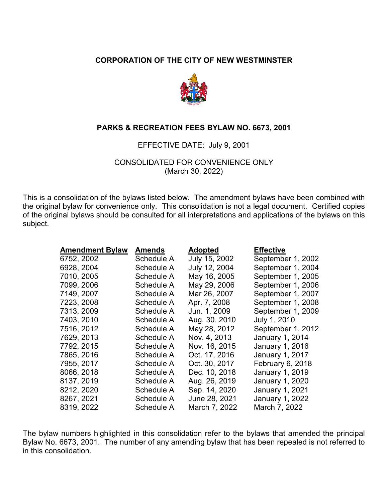### **CORPORATION OF THE CITY OF NEW WESTMINSTER**



### **PARKS & RECREATION FEES BYLAW NO. 6673, 2001**

EFFECTIVE DATE: July 9, 2001

CONSOLIDATED FOR CONVENIENCE ONLY (March 30, 2022)

This is a consolidation of the bylaws listed below. The amendment bylaws have been combined with the original bylaw for convenience only. This consolidation is not a legal document. Certified copies of the original bylaws should be consulted for all interpretations and applications of the bylaws on this subject.

| <b>Amendment Bylaw</b> | <b>Amends</b> | <b>Adopted</b> | <b>Effective</b>       |
|------------------------|---------------|----------------|------------------------|
| 6752, 2002             | Schedule A    | July 15, 2002  | September 1, 2002      |
| 6928, 2004             | Schedule A    | July 12, 2004  | September 1, 2004      |
| 7010, 2005             | Schedule A    | May 16, 2005   | September 1, 2005      |
| 7099, 2006             | Schedule A    | May 29, 2006   | September 1, 2006      |
| 7149, 2007             | Schedule A    | Mar 26, 2007   | September 1, 2007      |
| 7223, 2008             | Schedule A    | Apr. 7, 2008   | September 1, 2008      |
| 7313, 2009             | Schedule A    | Jun. 1, 2009   | September 1, 2009      |
| 7403, 2010             | Schedule A    | Aug. 30, 2010  | July 1, 2010           |
| 7516, 2012             | Schedule A    | May 28, 2012   | September 1, 2012      |
| 7629, 2013             | Schedule A    | Nov. 4, 2013   | January 1, 2014        |
| 7792, 2015             | Schedule A    | Nov. 16, 2015  | January 1, 2016        |
| 7865, 2016             | Schedule A    | Oct. 17, 2016  | January 1, 2017        |
| 7955, 2017             | Schedule A    | Oct. 30, 2017  | February 6, 2018       |
| 8066, 2018             | Schedule A    | Dec. 10, 2018  | <b>January 1, 2019</b> |
| 8137, 2019             | Schedule A    | Aug. 26, 2019  | <b>January 1, 2020</b> |
| 8212, 2020             | Schedule A    | Sep. 14, 2020  | <b>January 1, 2021</b> |
| 8267, 2021             | Schedule A    | June 28, 2021  | <b>January 1, 2022</b> |
| 8319, 2022             | Schedule A    | March 7, 2022  | March 7, 2022          |

The bylaw numbers highlighted in this consolidation refer to the bylaws that amended the principal Bylaw No. 6673, 2001. The number of any amending bylaw that has been repealed is not referred to in this consolidation.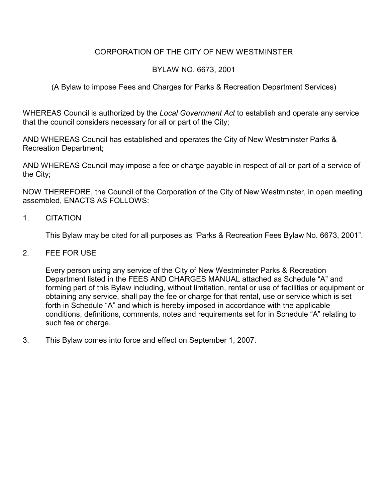# CORPORATION OF THE CITY OF NEW WESTMINSTER

# BYLAW NO. 6673, 2001

## (A Bylaw to impose Fees and Charges for Parks & Recreation Department Services)

WHEREAS Council is authorized by the *Local Government Act* to establish and operate any service that the council considers necessary for all or part of the City;

AND WHEREAS Council has established and operates the City of New Westminster Parks & Recreation Department;

AND WHEREAS Council may impose a fee or charge payable in respect of all or part of a service of the City;

NOW THEREFORE, the Council of the Corporation of the City of New Westminster, in open meeting assembled, ENACTS AS FOLLOWS:

### 1. CITATION

This Bylaw may be cited for all purposes as "Parks & Recreation Fees Bylaw No. 6673, 2001".

### 2. FEE FOR USE

Every person using any service of the City of New Westminster Parks & Recreation Department listed in the FEES AND CHARGES MANUAL attached as Schedule "A" and forming part of this Bylaw including, without limitation, rental or use of facilities or equipment or obtaining any service, shall pay the fee or charge for that rental, use or service which is set forth in Schedule "A" and which is hereby imposed in accordance with the applicable conditions, definitions, comments, notes and requirements set for in Schedule "A" relating to such fee or charge.

3. This Bylaw comes into force and effect on September 1, 2007.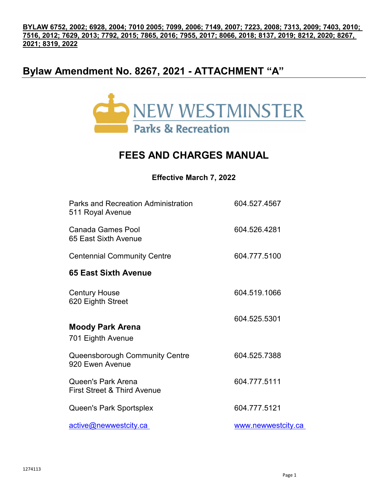**BYLAW 6752, 2002; 6928, 2004; 7010 2005; 7099, 2006; 7149, 2007; 7223, 2008; 7313, 2009; 7403, 2010; 7516, 2012; 7629, 2013; 7792, 2015; 7865, 2016; 7955, 2017; 8066, 2018; 8137, 2019; 8212, 2020; 8267, 2021; 8319, 2022**

# **Bylaw Amendment No. 8267, 2021 - ATTACHMENT "A"**



# **FEES AND CHARGES MANUAL**

# **Effective March 7, 2022**

| <b>Parks and Recreation Administration</b><br>511 Royal Avenue | 604.527.4567       |
|----------------------------------------------------------------|--------------------|
| Canada Games Pool<br>65 East Sixth Avenue                      | 604.526.4281       |
| <b>Centennial Community Centre</b>                             | 604.777.5100       |
| 65 East Sixth Avenue                                           |                    |
| Century House<br>620 Eighth Street                             | 604.519.1066       |
| Moody Park Arena<br>701 Eighth Avenue                          | 604.525.5301       |
| Queensborough Community Centre<br>920 Ewen Avenue              | 604.525.7388       |
| Queen's Park Arena<br>First Street & Third Avenue              | 604.777.5111       |
| Queen's Park Sportsplex                                        | 604.777.5121       |
| <u>active@newwestcity.ca_</u>                                  | www.newwestcity.ca |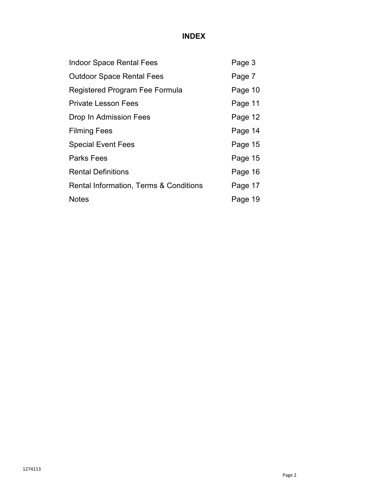# **INDEX**

| <b>Indoor Space Rental Fees</b>        | Page 3  |
|----------------------------------------|---------|
| <b>Outdoor Space Rental Fees</b>       | Page 7  |
| <b>Registered Program Fee Formula</b>  | Page 10 |
| <b>Private Lesson Fees</b>             | Page 11 |
| Drop In Admission Fees                 | Page 12 |
| <b>Filming Fees</b>                    | Page 14 |
| <b>Special Event Fees</b>              | Page 15 |
| <b>Parks Fees</b>                      | Page 15 |
| <b>Rental Definitions</b>              | Page 16 |
| Rental Information, Terms & Conditions | Page 17 |
| <b>Notes</b>                           | Page 19 |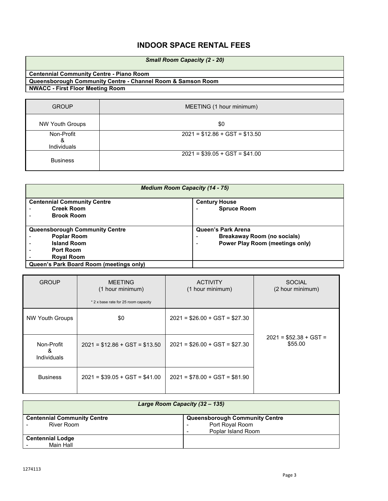# **INDOOR SPACE RENTAL FEES**

### *Small Room Capacity (2 - 20)*

**Centennial Community Centre - Piano Room Queensborough Community Centre - Channel Room & Samson Room NWACC - First Floor Meeting Room** 

| <b>GROUP</b>                   | MEETING (1 hour minimum)       |
|--------------------------------|--------------------------------|
| <b>NW Youth Groups</b>         | \$0                            |
| Non-Profit<br>&<br>Individuals | $2021 = $12.86 + GST = $13.50$ |
| <b>Business</b>                | $2021 = $39.05 + GST = $41.00$ |

| <b>Medium Room Capacity (14 - 75)</b>                                                                                      |                                                                                                    |  |  |  |
|----------------------------------------------------------------------------------------------------------------------------|----------------------------------------------------------------------------------------------------|--|--|--|
| <b>Centennial Community Centre</b><br><b>Creek Room</b><br><b>Brook Room</b>                                               | <b>Century House</b><br><b>Spruce Room</b>                                                         |  |  |  |
| <b>Queensborough Community Centre</b><br><b>Poplar Room</b><br><b>Island Room</b><br><b>Port Room</b><br><b>Royal Room</b> | Queen's Park Arena<br><b>Breakaway Room (no socials)</b><br><b>Power Play Room (meetings only)</b> |  |  |  |
| Queen's Park Board Room (meetings only)                                                                                    |                                                                                                    |  |  |  |

| <b>GROUP</b>                   | <b>MEETING</b><br>(1 hour minimum)<br>* 2 x base rate for 25 room capacity | <b>ACTIVITY</b><br>(1 hour minimum) | <b>SOCIAL</b><br>(2 hour minimum)  |
|--------------------------------|----------------------------------------------------------------------------|-------------------------------------|------------------------------------|
| <b>NW Youth Groups</b>         | \$0                                                                        | $2021 = $26.00 + GST = $27.30$      |                                    |
| Non-Profit<br>&<br>Individuals | $2021 = $12.86 + GST = $13.50$                                             | $2021 = $26.00 + GST = $27.30$      | $2021 = $52.38 + GST =$<br>\$55.00 |
| <b>Business</b>                | $2021 = $39.05 + GST = $41.00$                                             | $2021 = $78.00 + GST = $81.90$      |                                    |

| Large Room Capacity (32 - 135)                                                                                                     |  |  |  |
|------------------------------------------------------------------------------------------------------------------------------------|--|--|--|
| <b>Centennial Community Centre</b><br><b>Queensborough Community Centre</b><br>Port Royal Room<br>River Room<br>Poplar Island Room |  |  |  |
| <b>Centennial Lodge</b><br>Main Hall                                                                                               |  |  |  |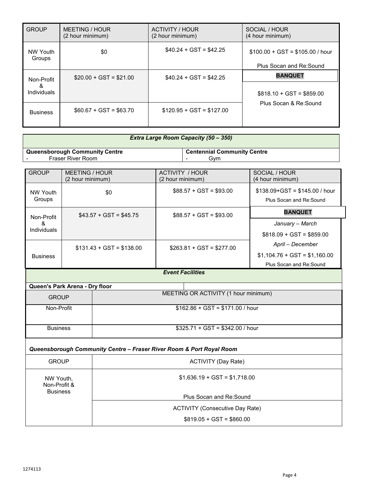| <b>GROUP</b>              | MEETING / HOUR<br>(2 hour minimum) | <b>ACTIVITY / HOUR</b><br>(2 hour minimum) | SOCIAL / HOUR<br>(4 hour minimum)                  |
|---------------------------|------------------------------------|--------------------------------------------|----------------------------------------------------|
| <b>NW Youth</b><br>Groups | \$0                                | $$40.24 + GST = $42.25$                    | $$100.00 + GST = $105.00 / hour$                   |
|                           |                                    |                                            | Plus Socan and Re:Sound                            |
| Non-Profit<br>&           | $$20.00 + GST = $21.00$            | $$40.24 + GST = $42.25$                    | <b>BANQUET</b>                                     |
| Individuals               |                                    |                                            | $$818.10 + GST = $859.00$<br>Plus Socan & Re:Sound |
| <b>Business</b>           | $$60.67 + GST = $63.70$            | $$120.95 + GST = $127.00$                  |                                                    |
|                           |                                    |                                            |                                                    |

| Extra Large Room Capacity (50 - 350)                       |                                                |                                                                      |  |                                            |                                                            |
|------------------------------------------------------------|------------------------------------------------|----------------------------------------------------------------------|--|--------------------------------------------|------------------------------------------------------------|
| <b>Queensborough Community Centre</b>                      | Fraser River Room                              |                                                                      |  | <b>Centennial Community Centre</b><br>Gym  |                                                            |
|                                                            |                                                |                                                                      |  |                                            |                                                            |
| <b>GROUP</b>                                               | <b>MEETING / HOUR</b><br>(2 hour minimum)      |                                                                      |  | <b>ACTIVITY / HOUR</b><br>(2 hour minimum) | SOCIAL / HOUR<br>(4 hour minimum)                          |
| <b>NW Youth</b><br>Groups                                  |                                                | \$0                                                                  |  | $$88.57 + GST = $93.00$                    | $$138.09+GST = $145.00 / hour$<br>Plus Socan and Re: Sound |
| Non-Profit                                                 |                                                | $$43.57 + GST = $45.75$                                              |  | $$88.57 + GST = $93.00$                    | <b>BANQUET</b>                                             |
| ጼ                                                          |                                                |                                                                      |  |                                            | January - March                                            |
| Individuals                                                |                                                |                                                                      |  |                                            | $$818.09 + GST = $859.00$                                  |
|                                                            |                                                | $$131.43 + GST = $138.00$                                            |  | $$263.81 + GST = $277.00$                  | April - December                                           |
| <b>Business</b>                                            |                                                |                                                                      |  |                                            | $$1,104.76 + GST = $1,160.00$                              |
|                                                            |                                                |                                                                      |  |                                            | Plus Socan and Re: Sound                                   |
|                                                            |                                                |                                                                      |  | <b>Event Facilities</b>                    |                                                            |
| Queen's Park Arena - Dry floor                             |                                                |                                                                      |  |                                            |                                                            |
| <b>GROUP</b>                                               |                                                |                                                                      |  | MEETING OR ACTIVITY (1 hour minimum)       |                                                            |
|                                                            | $$162.86 + GST = $171.00 / hour$<br>Non-Profit |                                                                      |  |                                            |                                                            |
| <b>Business</b>                                            |                                                | $$325.71 + GST = $342.00 / hour$                                     |  |                                            |                                                            |
|                                                            |                                                | Queensborough Community Centre - Fraser River Room & Port Royal Room |  |                                            |                                                            |
| <b>GROUP</b><br><b>ACTIVITY (Day Rate)</b>                 |                                                |                                                                      |  |                                            |                                                            |
| $$1,636.19 + GST = $1,718.00$<br>NW Youth,<br>Non-Profit & |                                                |                                                                      |  |                                            |                                                            |
|                                                            | <b>Business</b><br>Plus Socan and Re:Sound     |                                                                      |  |                                            |                                                            |
|                                                            |                                                | <b>ACTIVITY (Consecutive Day Rate)</b>                               |  |                                            |                                                            |
|                                                            |                                                | $$819.05 + GST = $860.00$                                            |  |                                            |                                                            |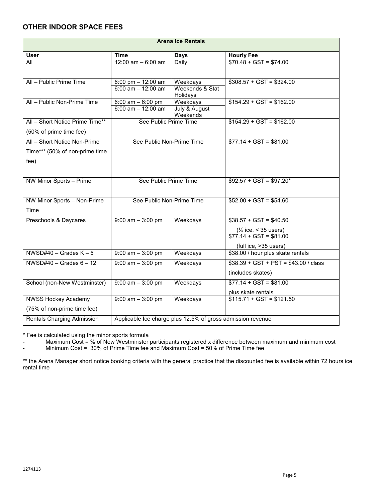## **OTHER INDOOR SPACE FEES**

| <b>Arena Ice Rentals</b>                                               |                                                             |                                         |                                                                                                                |  |  |
|------------------------------------------------------------------------|-------------------------------------------------------------|-----------------------------------------|----------------------------------------------------------------------------------------------------------------|--|--|
| <b>User</b>                                                            | Time                                                        | <b>Days</b>                             | <b>Hourly Fee</b>                                                                                              |  |  |
| All                                                                    | 12:00 am $-6:00$ am                                         | Daily                                   | $$70.48 + GST = $74.00$                                                                                        |  |  |
| All - Public Prime Time                                                | 6:00 pm $- 12:00$ am<br>$6:00$ am $-12:00$ am               | Weekdays<br>Weekends & Stat<br>Holidays | $$308.57 + GST = $324.00$                                                                                      |  |  |
| All - Public Non-Prime Time                                            | 6:00 am $-$ 6:00 pm<br>$6:00$ am $-12:00$ am                | Weekdays<br>July & August<br>Weekends   | $$154.29 + GST = $162.00$                                                                                      |  |  |
| All - Short Notice Prime Time**<br>(50% of prime time fee)             | See Public Prime Time                                       |                                         | $$154.29 + GST = $162.00$                                                                                      |  |  |
| All - Short Notice Non-Prime<br>Time*** (50% of non-prime time<br>fee) | See Public Non-Prime Time                                   |                                         | $$77.14 + GST = $81.00$                                                                                        |  |  |
| NW Minor Sports - Prime                                                | See Public Prime Time                                       |                                         | $$92.57 + GST = $97.20*$                                                                                       |  |  |
| NW Minor Sports - Non-Prime<br>Time                                    | See Public Non-Prime Time                                   |                                         | $$52.00 + GST = $54.60$                                                                                        |  |  |
| Preschools & Daycares                                                  | $9:00$ am $-3:00$ pm                                        | Weekdays                                | $$38.57 + GST = $40.50$<br>$(\frac{1}{2}$ ice, < 35 users)<br>$$77.14 + GST = $81.00$<br>(full ice, >35 users) |  |  |
| NWSD#40 - Grades $K - 5$                                               | $9:00$ am $-3:00$ pm                                        | Weekdays                                | \$38.00 / hour plus skate rentals                                                                              |  |  |
| NWSD#40 - Grades $6 - 12$                                              | Weekdays<br>$9:00$ am $-3:00$ pm                            |                                         | $$38.39 + GST + PST = $43.00 / class$<br>(includes skates)                                                     |  |  |
| School (non-New Westminster)                                           | $9:00$ am $-3:00$ pm                                        | Weekdays                                | $$77.14 + GST = $81.00$<br>plus skate rentals                                                                  |  |  |
| <b>NWSS Hockey Academy</b><br>(75% of non-prime time fee)              | $9:00$ am $-3:00$ pm                                        | Weekdays                                | $$115.71 + GST = $121.50$                                                                                      |  |  |
| <b>Rentals Charging Admission</b>                                      | Applicable Ice charge plus 12.5% of gross admission revenue |                                         |                                                                                                                |  |  |

\* Fee is calculated using the minor sports formula

- Maximum Cost = % of New Westminster participants registered x difference between maximum and minimum cost

- Minimum Cost = 30% of Prime Time fee and Maximum Cost = 50% of Prime Time fee

\*\* the Arena Manager short notice booking criteria with the general practice that the discounted fee is available within 72 hours ice rental time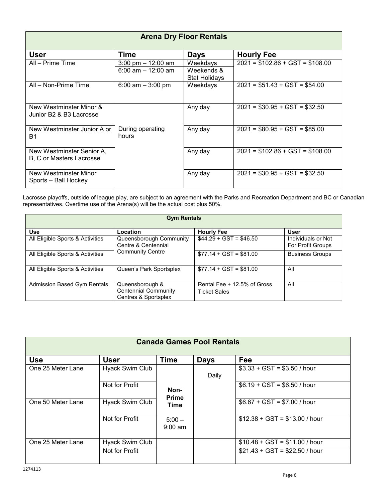# **Arena Dry Floor Rentals**

| <b>User</b>                 | <b>Time</b>                          | <b>Days</b>   | <b>Hourly Fee</b>                |
|-----------------------------|--------------------------------------|---------------|----------------------------------|
| All – Prime Time            | $3:00 \text{ pm} - 12:00 \text{ am}$ | Weekdays      | $2021 = $102.86 + GST = $108.00$ |
|                             | $6:00$ am $-12:00$ am                | Weekends &    |                                  |
|                             |                                      | Stat Holidays |                                  |
| All - Non-Prime Time        | 6:00 am $-$ 3:00 pm                  | Weekdays      | $2021 = $51.43 + GST = $54.00$   |
|                             |                                      |               |                                  |
| New Westminster Minor &     |                                      | Any day       | $2021 = $30.95 + GST = $32.50$   |
| Junior B2 & B3 Lacrosse     |                                      |               |                                  |
|                             |                                      |               |                                  |
| New Westminster Junior A or | During operating                     | Any day       | $2021 = $80.95 + GST = $85.00$   |
| <b>B1</b>                   | hours                                |               |                                  |
|                             |                                      |               |                                  |
| New Westminster Senior A,   |                                      | Any day       | $2021 = $102.86 + GST = $108.00$ |
| B, C or Masters Lacrosse    |                                      |               |                                  |
| New Westminster Minor       |                                      | Any day       | $2021 = $30.95 + GST = $32.50$   |
| Sports - Ball Hockey        |                                      |               |                                  |

Lacrosse playoffs, outside of league play, are subject to an agreement with the Parks and Recreation Department and BC or Canadian representatives. Overtime use of the Arena(s) will be the actual cost plus 50%.

| <b>Gym Rentals</b>               |                                                                        |                                                    |                                                |  |
|----------------------------------|------------------------------------------------------------------------|----------------------------------------------------|------------------------------------------------|--|
| <b>Use</b>                       | Location                                                               | <b>Hourly Fee</b>                                  | <b>User</b>                                    |  |
| All Eligible Sports & Activities | Queensborough Community<br>Centre & Centennial                         | $$44.29 + GST = $46.50$                            | Individuals or Not<br><b>For Profit Groups</b> |  |
| All Eligible Sports & Activities | <b>Community Centre</b>                                                | $$77.14 + GST = $81.00$                            | <b>Business Groups</b>                         |  |
| All Eligible Sports & Activities | Queen's Park Sportsplex                                                | $$77.14 + GST = $81.00$                            | All                                            |  |
| Admission Based Gym Rentals      | Queensborough &<br><b>Centennial Community</b><br>Centres & Sportsplex | Rental Fee + 12.5% of Gross<br><b>Ticket Sales</b> | All                                            |  |

| <b>Canada Games Pool Rentals</b> |                        |                       |             |                                |  |
|----------------------------------|------------------------|-----------------------|-------------|--------------------------------|--|
| <b>Use</b>                       | <b>User</b>            | <b>Time</b>           | <b>Days</b> | Fee                            |  |
| One 25 Meter Lane                | <b>Hyack Swim Club</b> |                       | Daily       | $$3.33 + GST = $3.50 / hour$   |  |
|                                  | Not for Profit         | Non-<br><b>Prime</b>  |             | $$6.19 + GST = $6.50 / hour$   |  |
| One 50 Meter Lane                | Hyack Swim Club        | <b>Time</b>           |             | $$6.67 + GST = $7.00 / hour$   |  |
|                                  | Not for Profit         | $5:00 -$<br>$9:00$ am |             | $$12.38 + GST = $13.00 / hour$ |  |
| One 25 Meter Lane                | Hyack Swim Club        |                       |             | $$10.48 + GST = $11.00 / hour$ |  |
|                                  | Not for Profit         |                       |             | $$21.43 + GST = $22.50 / hour$ |  |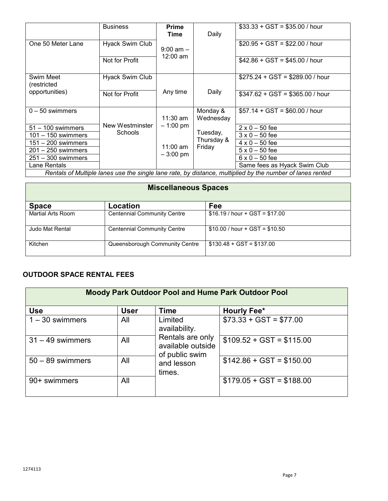|                                                                                                           | <b>Business</b> | <b>Prime</b><br>Time | Daily                 | $$33.33 + GST = $35.00 / hour$   |
|-----------------------------------------------------------------------------------------------------------|-----------------|----------------------|-----------------------|----------------------------------|
| One 50 Meter Lane                                                                                         | Hyack Swim Club | $9:00$ am $-$        |                       | $$20.95 + GST = $22.00 / hour$   |
|                                                                                                           | Not for Profit  | 12:00 am             |                       | $$42.86 + GST = $45.00 / hour$   |
| Swim Meet<br>(restricted                                                                                  | Hyack Swim Club |                      |                       | $$275.24 + GST = $289.00 / hour$ |
| opportunities)                                                                                            | Not for Profit  | Any time<br>Daily    |                       | $$347.62 + GST = $365.00 / hour$ |
| $0 - 50$ swimmers                                                                                         |                 | $11:30$ am           | Monday &<br>Wednesday | $$57.14 + GST = $60.00 / hour$   |
| $51 - 100$ swimmers                                                                                       | New Westminster | $-1:00 \text{ pm}$   | Tuesday,              | $2 \times 0 - 50$ fee            |
| $101 - 150$ swimmers                                                                                      |                 | <b>Schools</b>       |                       | $3 \times 0 - 50$ fee            |
| $151 - 200$ swimmers                                                                                      |                 | $11:00$ am           | Thursday &            | $4 \times 0 - 50$ fee            |
| $201 - 250$ swimmers                                                                                      |                 | $-3:00 \text{ pm}$   | Friday                | $5 \times 0 - 50$ fee            |
| $251 - 300$ swimmers                                                                                      |                 |                      |                       | $6 \times 0 - 50$ fee            |
| Lane Rentals                                                                                              |                 |                      |                       | Same fees as Hyack Swim Club     |
| Rentals of Multiple lanes use the single lane rate, by distance, multiplied by the number of lanes rented |                 |                      |                       |                                  |

| <b>Miscellaneous Spaces</b> |                                    |                                |  |  |
|-----------------------------|------------------------------------|--------------------------------|--|--|
| <b>Space</b>                | Location                           | Fee                            |  |  |
| Martial Arts Room           | <b>Centennial Community Centre</b> | $$16.19 / hour + GST = $17.00$ |  |  |
| Judo Mat Rental             | <b>Centennial Community Centre</b> | $$10.00 / hour + GST = $10.50$ |  |  |
| Kitchen                     | Queensborough Community Centre     | $$130.48 + GST = $137.00$      |  |  |

# **OUTDOOR SPACE RENTAL FEES**

| <b>Moody Park Outdoor Pool and Hume Park Outdoor Pool</b> |             |                                                         |                           |  |
|-----------------------------------------------------------|-------------|---------------------------------------------------------|---------------------------|--|
| <b>Use</b>                                                | <b>User</b> | <b>Time</b>                                             | <b>Hourly Fee*</b>        |  |
| $1 - 30$ swimmers                                         | All         | Limited<br>availability.                                | $$73.33 + GST = $77.00$   |  |
| $31 - 49$ swimmers                                        | All         | Rentals are only<br>available outside<br>of public swim | $$109.52 + GST = $115.00$ |  |
| $50 - 89$ swimmers                                        | All         | and lesson<br>times.                                    | $$142.86 + GST = $150.00$ |  |
| 90+ swimmers                                              | All         |                                                         | $$179.05 + GST = $188.00$ |  |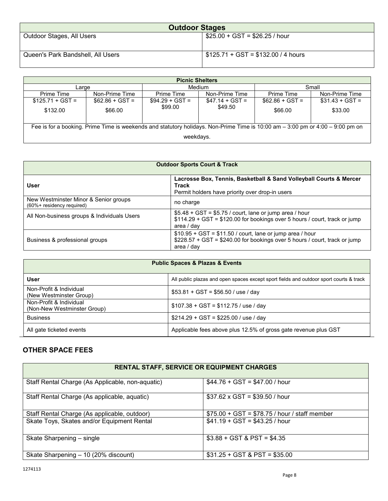| <b>Outdoor Stages</b>             |                                     |  |  |
|-----------------------------------|-------------------------------------|--|--|
| Outdoor Stages, All Users         | $$25.00 + GST = $26.25 / hour$      |  |  |
|                                   |                                     |  |  |
| Queen's Park Bandshell, All Users | $$125.71 + GST = $132.00 / 4$ hours |  |  |
|                                   |                                     |  |  |

| <b>Picnic Shelters</b>                                                                                                         |                  |                  |                  |                  |                  |
|--------------------------------------------------------------------------------------------------------------------------------|------------------|------------------|------------------|------------------|------------------|
| Large                                                                                                                          |                  | Medium           |                  | Small            |                  |
| Prime Time                                                                                                                     | Non-Prime Time   | Prime Time       | Non-Prime Time   | Prime Time       | Non-Prime Time   |
| $$125.71 + GST =$                                                                                                              | $$62.86 + GST =$ | $$94.29 + GST =$ | $$47.14 + GST =$ | $$62.86 + GST =$ | $$31.43 + GST =$ |
| \$132.00                                                                                                                       | \$66.00          | \$99.00          | \$49.50          | \$66.00          | \$33.00          |
| Fee is for a booking. Prime Time is weekends and statutory holidays. Non-Prime Time is 10:00 am – 3:00 pm or 4:00 – 9:00 pm on |                  |                  |                  |                  |                  |
| weekdays.                                                                                                                      |                  |                  |                  |                  |                  |

| <b>Outdoor Sports Court &amp; Track</b>                            |                                                                                                                                                        |  |  |
|--------------------------------------------------------------------|--------------------------------------------------------------------------------------------------------------------------------------------------------|--|--|
| User                                                               | Lacrosse Box, Tennis, Basketball & Sand Volleyball Courts & Mercer<br><b>Track</b><br>Permit holders have priority over drop-in users                  |  |  |
| New Westminster Minor & Senior groups<br>(60%+ residency required) | no charge                                                                                                                                              |  |  |
| All Non-business groups & Individuals Users                        | $$5.48 + GST = $5.75 /$ court, lane or jump area / hour<br>$$114.29 + GST = $120.00$ for bookings over 5 hours / court, track or jump<br>area / day    |  |  |
| Business & professional groups                                     | $$10.95 + GST = $11.50 / court$ , lane or jump area / hour<br>$$228.57 + GST = $240.00$ for bookings over 5 hours / court, track or jump<br>area / day |  |  |

| <b>Public Spaces &amp; Plazas &amp; Events</b>         |                                                                                        |  |  |
|--------------------------------------------------------|----------------------------------------------------------------------------------------|--|--|
| User                                                   | All public plazas and open spaces except sport fields and outdoor sport courts & track |  |  |
| Non-Profit & Individual<br>(New Westminster Group)     | $$53.81 + GST = $56.50 / use / day$                                                    |  |  |
| Non-Profit & Individual<br>(Non-New Westminster Group) | $$107.38 + GST = $112.75 / use / day$                                                  |  |  |
| <b>Business</b>                                        | $$214.29 + GST = $225.00 / use / day$                                                  |  |  |
| All gate ticketed events                               | Applicable fees above plus 12.5% of gross gate revenue plus GST                        |  |  |

### **OTHER SPACE FEES**

| <b>RENTAL STAFF, SERVICE OR EQUIPMENT CHARGES</b> |                                               |  |  |  |
|---------------------------------------------------|-----------------------------------------------|--|--|--|
| Staff Rental Charge (As Applicable, non-aquatic)  | $$44.76 + GST = $47.00 / hour$                |  |  |  |
| Staff Rental Charge (As applicable, aquatic)      | $$37.62 \times GST = $39.50 / hour$           |  |  |  |
| Staff Rental Charge (As applicable, outdoor)      | $$75.00 + GST = $78.75 / hour / staff member$ |  |  |  |
| Skate Toys, Skates and/or Equipment Rental        | $$41.19 + GST = $43.25 / hour$                |  |  |  |
| Skate Sharpening - single                         | $$3.88 + GST & PST = $4.35$                   |  |  |  |
| Skate Sharpening - 10 (20% discount)              | $$31.25 + GST & PST = $35.00$                 |  |  |  |

 $\overline{a}$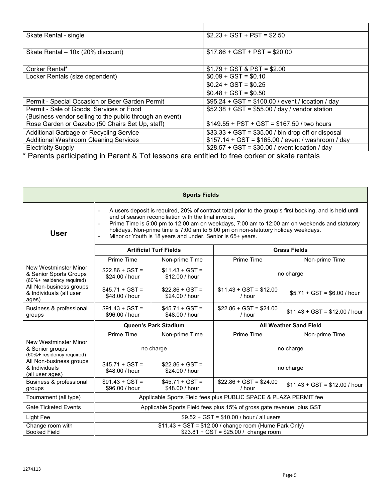| Skate Rental - single                                    | $$2.23 + GST + PST = $2.50$                        |
|----------------------------------------------------------|----------------------------------------------------|
|                                                          |                                                    |
| Skate Rental - 10x (20% discount)                        | $$17.86 + GST + PST = $20.00$                      |
|                                                          |                                                    |
| Corker Rental*                                           | $$1.79 + GST & PST = $2.00$                        |
| Locker Rentals (size dependent)                          | $$0.09 + GST = $0.10$                              |
|                                                          | $$0.24 + GST = $0.25$                              |
|                                                          | $$0.48 + GST = $0.50$                              |
| Permit - Special Occasion or Beer Garden Permit          | $$95.24 + GST = $100.00 / event / location / day$  |
| Permit - Sale of Goods, Services or Food                 | $$52.38 + GST = $55.00 / day / vendor station$     |
| (Business vendor selling to the public through an event) |                                                    |
| Rose Garden or Gazebo (50 Chairs Set Up, staff)          | $$149.55 + PST + GST = $167.50$ / two hours        |
| Additional Garbage or Recycling Service                  | $$33.33 + GST = $35.00 / bin drop off or disposal$ |
| Additional Washroom Cleaning Services                    | $$157.14 + GST = $165.00 / event / washroom / day$ |
| <b>Electricity Supply</b>                                | $$28.57 + GST = $30.00 / event location / day$     |

\* Parents participating in Parent & Tot lessons are entitled to free corker or skate rentals

| <b>Sports Fields</b>                                                         |                                                                                                                                                                                                                                                                                                                                                                                                                                                                   |                                    |                                   |                                |  |
|------------------------------------------------------------------------------|-------------------------------------------------------------------------------------------------------------------------------------------------------------------------------------------------------------------------------------------------------------------------------------------------------------------------------------------------------------------------------------------------------------------------------------------------------------------|------------------------------------|-----------------------------------|--------------------------------|--|
| <b>User</b>                                                                  | A users deposit is required, 20% of contract total prior to the group's first booking, and is held until<br>$\overline{a}$<br>end of season reconciliation with the final invoice.<br>Prime Time is 5:00 pm to 12:00 am on weekdays, 7:00 am to 12:00 am on weekends and statutory<br>$\overline{\phantom{a}}$<br>holidays. Non-prime time is 7:00 am to 5:00 pm on non-statutory holiday weekdays.<br>Minor or Youth is 18 years and under. Senior is 65+ years. |                                    |                                   |                                |  |
|                                                                              |                                                                                                                                                                                                                                                                                                                                                                                                                                                                   | <b>Artificial Turf Fields</b>      |                                   | <b>Grass Fields</b>            |  |
|                                                                              | Prime Time                                                                                                                                                                                                                                                                                                                                                                                                                                                        | Non-prime Time                     | Prime Time                        | Non-prime Time                 |  |
| New Westminster Minor<br>& Senior Sports Groups<br>(60%+ residency required) | $$22.86 + GST =$<br>\$24.00 / hour                                                                                                                                                                                                                                                                                                                                                                                                                                | $$11.43 + GST =$<br>\$12.00 / hour |                                   | no charge                      |  |
| All Non-business groups<br>& Individuals (all user<br>ages)                  | $$45.71 + GST =$<br>\$48.00 / hour                                                                                                                                                                                                                                                                                                                                                                                                                                | $$22.86 + GST =$<br>\$24.00 / hour | $$11.43 + GST = $12.00$<br>/ hour | $$5.71 + GST = $6.00 / hour$   |  |
| Business & professional<br>groups                                            | $$91.43 + GST =$<br>\$96,00 / hour                                                                                                                                                                                                                                                                                                                                                                                                                                | $$45.71 + GST =$<br>\$48.00 / hour | $$22.86 + GST = $24.00$<br>/ hour | $$11.43 + GST = $12.00 / hour$ |  |
|                                                                              | <b>All Weather Sand Field</b><br>Queen's Park Stadium                                                                                                                                                                                                                                                                                                                                                                                                             |                                    |                                   |                                |  |
|                                                                              | Prime Time                                                                                                                                                                                                                                                                                                                                                                                                                                                        | Non-prime Time                     | Prime Time                        | Non-prime Time                 |  |
| <b>New Westminster Minor</b><br>& Senior groups<br>(60%+ residency required) |                                                                                                                                                                                                                                                                                                                                                                                                                                                                   | no charge                          | no charge                         |                                |  |
| All Non-business groups<br>& Individuals<br>(all user ages)                  | $$45.71 + GST =$<br>\$48.00 / hour                                                                                                                                                                                                                                                                                                                                                                                                                                | $$22.86 + GST =$<br>\$24.00 / hour | no charge                         |                                |  |
| Business & professional<br>groups                                            | $$91.43 + GST =$<br>\$96.00 / hour                                                                                                                                                                                                                                                                                                                                                                                                                                | $$45.71 + GST =$<br>\$48.00 / hour | $$22.86 + GST = $24.00$<br>/ hour | $$11.43 + GST = $12.00 / hour$ |  |
| Tournament (all type)                                                        | Applicable Sports Field fees plus PUBLIC SPACE & PLAZA PERMIT fee                                                                                                                                                                                                                                                                                                                                                                                                 |                                    |                                   |                                |  |
| <b>Gate Ticketed Events</b>                                                  | Applicable Sports Field fees plus 15% of gross gate revenue, plus GST                                                                                                                                                                                                                                                                                                                                                                                             |                                    |                                   |                                |  |
| Light Fee                                                                    | $$9.52 + GST = $10.00 / hour / all users$                                                                                                                                                                                                                                                                                                                                                                                                                         |                                    |                                   |                                |  |
| Change room with<br><b>Booked Field</b>                                      | $$11.43 + GST = $12.00 / change room (Hume Park Only)$<br>$$23.81 + GST = $25.00 / change room$                                                                                                                                                                                                                                                                                                                                                                   |                                    |                                   |                                |  |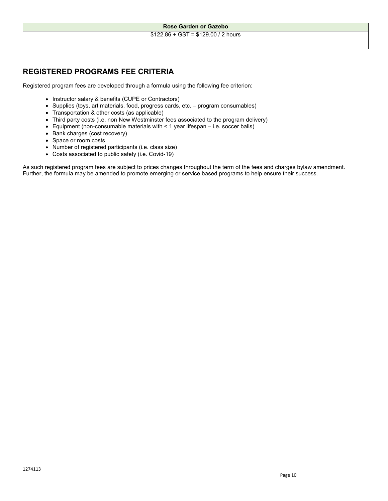#### **Rose Garden or Gazebo**

#### \$122.86 + GST = \$129.00 / 2 hours

### **REGISTERED PROGRAMS FEE CRITERIA**

Registered program fees are developed through a formula using the following fee criterion:

- Instructor salary & benefits (CUPE or Contractors)
- Supplies (toys, art materials, food, progress cards, etc. program consumables)
- Transportation & other costs (as applicable)
- Third party costs (i.e. non New Westminster fees associated to the program delivery)
- Equipment (non-consumable materials with < 1 year lifespan i.e. soccer balls)
- Bank charges (cost recovery)
- Space or room costs
- Number of registered participants (i.e. class size)
- Costs associated to public safety (i.e. Covid-19)

As such registered program fees are subject to prices changes throughout the term of the fees and charges bylaw amendment. Further, the formula may be amended to promote emerging or service based programs to help ensure their success.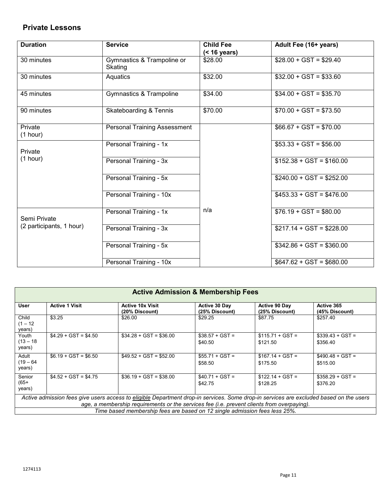# **Private Lessons**

| <b>Duration</b>          | <b>Service</b>                               | <b>Child Fee</b><br>$( < 16$ years) | Adult Fee (16+ years)     |
|--------------------------|----------------------------------------------|-------------------------------------|---------------------------|
| 30 minutes               | Gymnastics & Trampoline or<br><b>Skating</b> | \$28.00                             | $$28.00 + GST = $29.40$   |
| 30 minutes               | Aquatics                                     | \$32.00                             | $$32.00 + GST = $33.60$   |
| 45 minutes               | Gymnastics & Trampoline                      | \$34.00                             | $$34.00 + GST = $35.70$   |
| 90 minutes               | <b>Skateboarding &amp; Tennis</b>            | \$70.00                             | $$70.00 + GST = $73.50$   |
| Private<br>(1 hour)      | Personal Training Assessment                 |                                     | $$66.67 + GST = $70.00$   |
| Private                  | Personal Training - 1x                       |                                     | $$53.33 + GST = $56.00$   |
| (1 hour)                 | Personal Training - 3x                       |                                     | $$152.38 + GST = $160.00$ |
|                          | Personal Training - 5x                       |                                     | $$240.00 + GST = $252.00$ |
|                          | Personal Training - 10x                      |                                     | $$453.33 + GST = $476.00$ |
| Semi Private             | Personal Training - 1x                       | n/a                                 | $$76.19 + GST = $80.00$   |
| (2 participants, 1 hour) | Personal Training - 3x                       |                                     | $$217.14 + GST = $228.00$ |
|                          | Personal Training - 5x                       |                                     | $$342.86 + GST = $360.00$ |
|                          | Personal Training - 10x                      |                                     | $$647.62 + GST = $680.00$ |

|                                | <b>Active Admission &amp; Membership Fees</b> |                                                                                                                                                                                                                                      |                                        |                                 |                               |  |  |
|--------------------------------|-----------------------------------------------|--------------------------------------------------------------------------------------------------------------------------------------------------------------------------------------------------------------------------------------|----------------------------------------|---------------------------------|-------------------------------|--|--|
| User                           | <b>Active 1 Visit</b>                         | <b>Active 10x Visit</b><br>(20% Discount)                                                                                                                                                                                            | <b>Active 30 Day</b><br>(25% Discount) | Active 90 Day<br>(25% Discount) | Active 365<br>(45% Discount)  |  |  |
| Child<br>$(1 - 12)$<br>years)  | \$3.25                                        | \$26.00                                                                                                                                                                                                                              | \$29.25                                | \$87.75                         | \$257.40                      |  |  |
| Youth<br>$(13 - 18)$<br>years) | $$4.29 + GST = $4.50$                         | $$34.28 + GST = $36.00$                                                                                                                                                                                                              | $$38.57 + GST =$<br>\$40.50            | $$115.71 + GST =$<br>\$121.50   | $$339.43 + GST =$<br>\$356.40 |  |  |
| Adult<br>$(19 - 64)$<br>years) | $$6.19 + GST = $6.50$                         | $$49.52 + GST = $52.00$                                                                                                                                                                                                              | $$55.71 + GST =$<br>\$58.50            | $$167.14 + GST =$<br>\$175.50   | $$490.48 + GST =$<br>\$515.00 |  |  |
| Senior<br>(65+<br>years)       | $$4.52 + GST = $4.75$                         | $$36.19 + GST = $38.00$                                                                                                                                                                                                              | $$40.71 + GST =$<br>\$42.75            | $$122.14 + GST =$<br>\$128.25   | $$358.29 + GST =$<br>\$376.20 |  |  |
|                                |                                               | Active admission fees give users access to eligible Department drop-in services. Some drop-in services are excluded based on the users<br>age, a membership requirements or the services fee (i.e. prevent clients from overpaying). |                                        |                                 |                               |  |  |
|                                |                                               | Time based membership fees are based on 12 single admission fees less 25%.                                                                                                                                                           |                                        |                                 |                               |  |  |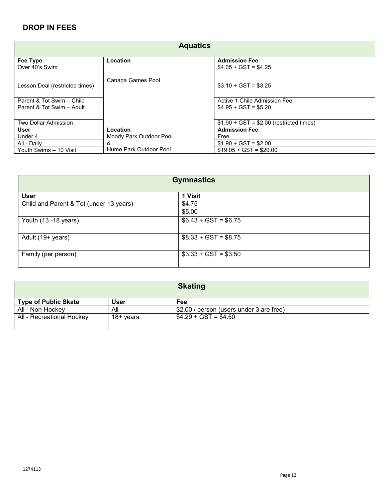# **DROP IN FEES**

| <b>Aquatics</b>                |                         |                                          |  |
|--------------------------------|-------------------------|------------------------------------------|--|
| Fee Type                       | Location                | <b>Admission Fee</b>                     |  |
| Over 40's Swim                 |                         | $$4.05 + GST = $4.25$                    |  |
|                                | Canada Games Pool       |                                          |  |
| Lesson Deal (restricted times) |                         | $$3.10 + GST = $3.25$                    |  |
|                                |                         |                                          |  |
| Parent & Tot Swim - Child      |                         | Active 1 Child Admission Fee             |  |
| Parent & Tot Swim - Adult      |                         | $$4.95 + GST = $5.20$                    |  |
|                                |                         |                                          |  |
| Two Dollar Admission           |                         | $$1.90 + GST = $2.00$ (restricted times) |  |
| <b>User</b>                    | Location                | <b>Admission Fee</b>                     |  |
| Under 4                        | Moody Park Outdoor Pool | Free                                     |  |
| All - Daily                    | &                       | $$1.90 + GST = $2.00$                    |  |
| Youth Swims - 10 Visit         | Hume Park Outdoor Pool  | $$19.05 + GST = $20.00$                  |  |

| <b>Gymnastics</b>                       |                       |  |
|-----------------------------------------|-----------------------|--|
| <b>User</b>                             | 1 Visit               |  |
| Child and Parent & Tot (under 13 years) | \$4.75                |  |
|                                         | \$5.00                |  |
| Youth (13 - 18 years)                   | $$6.43 + GST = $6.75$ |  |
| Adult (19+ years)                       | $$8.33 + GST = $8.75$ |  |
| Family (per person)                     | $$3.33 + GST = $3.50$ |  |

| <b>Skating</b>              |           |                                          |  |
|-----------------------------|-----------|------------------------------------------|--|
| <b>Type of Public Skate</b> | User      | Fee                                      |  |
| All - Non-Hockey            | All       | \$2.00 / person (users under 3 are free) |  |
| All - Recreational Hockey   | 18+ years | $$4.29 + GST = $4.50$                    |  |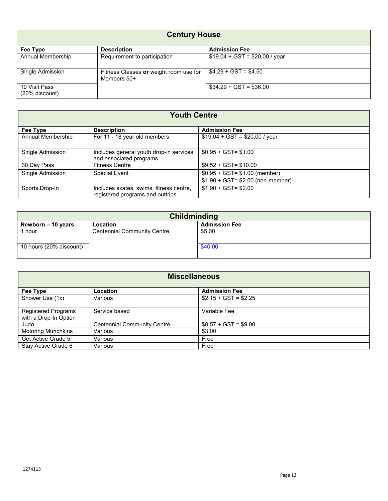| <b>Century House</b>              |                                                       |                                |  |
|-----------------------------------|-------------------------------------------------------|--------------------------------|--|
| Fee Type                          | <b>Description</b>                                    | <b>Admission Fee</b>           |  |
| Annual Membership                 | Requirement to participation                          | $$19.04 + GST = $20.00 / year$ |  |
| Single Admission                  | Fitness Classes or weight room use for<br>Members 50+ | $$4.29 + GST = $4.50$          |  |
| 10 Visit Pass<br>$(20%$ discount) |                                                       | $$34.29 + GST = $36.00$        |  |

| <b>Youth Centre</b> |                                                                             |                                    |  |
|---------------------|-----------------------------------------------------------------------------|------------------------------------|--|
| Fee Type            | <b>Description</b>                                                          | <b>Admission Fee</b>               |  |
| Annual Membership   | For 11 - 18 year old members                                                | $$19.04 + GST = $20.00 / year$     |  |
| Single Admission    | Includes general youth drop-in services<br>and associated programs          | $$0.95 + GST = $1.00$              |  |
| 30 Day Pass         | <b>Fitness Centre</b>                                                       | $$9.52 + GST = $10.00$             |  |
| Single Admission    | <b>Special Event</b>                                                        | $$0.95 + GST = $1.00$ (member)     |  |
|                     |                                                                             | $$1.90 + GST = $2.00$ (non-member) |  |
| Sports Drop-In      | Includes skates, swims, fitness centre,<br>registered programs and outtrips | $$1.90 + GST = $2.00$              |  |

| <b>Childminding</b>     |                                    |                      |  |
|-------------------------|------------------------------------|----------------------|--|
| Newborn - 10 years      | Location                           | <b>Admission Fee</b> |  |
| hour                    | <b>Centennial Community Centre</b> | \$5.00               |  |
| 10 hours (20% discount) |                                    | \$40.00              |  |

| <b>Miscellaneous</b>                                |                                    |                       |  |
|-----------------------------------------------------|------------------------------------|-----------------------|--|
| Fee Type                                            | Location                           | <b>Admission Fee</b>  |  |
| Shower Use (1x)                                     | Various                            | $$2.15 + GST = $2.25$ |  |
| <b>Registered Programs</b><br>with a Drop-In Option | Service based                      | Variable Fee          |  |
| Judo                                                | <b>Centennial Community Centre</b> | $$8.57 + GST = $9.00$ |  |
| <b>Motoring Munchkins</b>                           | Various                            | \$3.00                |  |
| Get Active Grade 5                                  | Various                            | Free                  |  |
| Stay Active Grade 6                                 | Various                            | Free                  |  |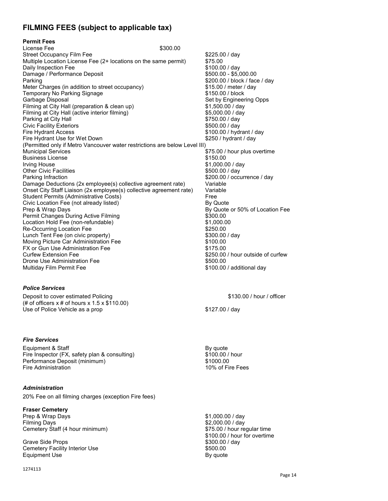## **FILMING FEES (subject to applicable tax)**

| <b>Other Civic Facilities</b><br>\$500.00 / day<br>Parking Infraction<br>Damage Deductions (2x employee(s) collective agreement rate)<br>Variable<br>Onset City Staff Liaison (2x employee(s) collective agreement rate)<br>Variable<br>Student Permits (Administrative Costs)<br>Free<br>Civic Location Fee (not already listed)<br>By Quote<br>Prep & Wrap Days<br>\$300.00<br>Permit Changes During Active Filming<br>Location Hold Fee (non-refundable)<br>\$1,000.00<br>Re-Occurring Location Fee<br>\$250.00<br>Lunch Tent Fee (on civic property)<br>\$300.00 / day<br>Moving Picture Car Administration Fee<br>\$100.00<br>FX or Gun Use Administration Fee<br>\$175.00<br><b>Curfew Extension Fee</b><br>\$500.00<br>Drone Use Administration Fee | <b>Permit Fees</b><br>License Fee<br><b>Street Occupancy Film Fee</b><br>Multiple Location License Fee (2+ locations on the same permit)<br>Daily Inspection Fee<br>Damage / Performance Deposit<br>Parking<br>Meter Charges (in addition to street occupancy)<br>Temporary No Parking Signage<br>Garbage Disposal<br>Filming at City Hall (preparation & clean up)<br>Filming at City Hall (active interior filming)<br>Parking at City Hall<br><b>Civic Facility Exteriors</b><br><b>Fire Hydrant Access</b><br>Fire Hydrant Use for Wet Down<br>(Permitted only if Metro Vancouver water restrictions are below Level III)<br><b>Municipal Services</b><br><b>Business License</b><br><b>Irving House</b> | \$300.00 | \$225.00 / day<br>\$75.00<br>\$100.00 / day<br>\$500.00 - \$5,000.00<br>\$200,00 / block / face / o<br>\$15.00 / meter / day<br>\$150,00 / block<br>Set by Engineering Opp<br>\$1,500.00 / day<br>\$5,000.00 / day<br>\$750.00 / day<br>\$500.00 / day<br>\$100.00 / hydrant / day<br>\$250 / hydrant / day<br>\$75.00 / hour plus overti<br>\$150.00<br>\$1,000.00 / day |
|------------------------------------------------------------------------------------------------------------------------------------------------------------------------------------------------------------------------------------------------------------------------------------------------------------------------------------------------------------------------------------------------------------------------------------------------------------------------------------------------------------------------------------------------------------------------------------------------------------------------------------------------------------------------------------------------------------------------------------------------------------|--------------------------------------------------------------------------------------------------------------------------------------------------------------------------------------------------------------------------------------------------------------------------------------------------------------------------------------------------------------------------------------------------------------------------------------------------------------------------------------------------------------------------------------------------------------------------------------------------------------------------------------------------------------------------------------------------------------|----------|---------------------------------------------------------------------------------------------------------------------------------------------------------------------------------------------------------------------------------------------------------------------------------------------------------------------------------------------------------------------------|
|                                                                                                                                                                                                                                                                                                                                                                                                                                                                                                                                                                                                                                                                                                                                                            | Multiday Film Permit Fee                                                                                                                                                                                                                                                                                                                                                                                                                                                                                                                                                                                                                                                                                     |          | \$200.00 / occurrence / c<br>By Quote or 50% of Loc<br>\$250,00 / hour outside of<br>\$100.00 / additional day                                                                                                                                                                                                                                                            |

#### *Police Services*

Deposit to cover estimated Policing and the state of the state \$130.00 / hour / officer (# of officers  $x \ne 0$  hours  $x \ne 1.5$   $x \ne 110.00$ ) Use of Police Vehicle as a prop \$127.00 / day

#### *Fire Services*

Equipment & Staff By quote<br>
Fire Inspector (FX, safety plan & consulting)  $$100.00 / hour$ Fire Inspector (FX, safety plan & consulting)  $$100.00 /$$  Performance Deposit (minimum) Performance Deposit (minimum) \$1000.00 Fire Administration

#### *Administration*

20% Fee on all filming charges (exception Fire fees)

#### **Fraser Cemetery**

Prep & Wrap Days \$1,000.00 / day Cemetery Staff (4 hour minimum)

Grave Side Props Cemetery Facility Interior Use \$500.00<br>
Equipment Use \$500.00<br>
By quote **Equipment Use** 

1274113

<mark>ck / face / day</mark><br>r / day ering Opps plus overtime urrence / day 0% of Location Fee r outside of curfew

\$2,000.00 / day<br>\$75.00 / hour regular time \$100.00 / hour for overtime<br>\$300.00 / day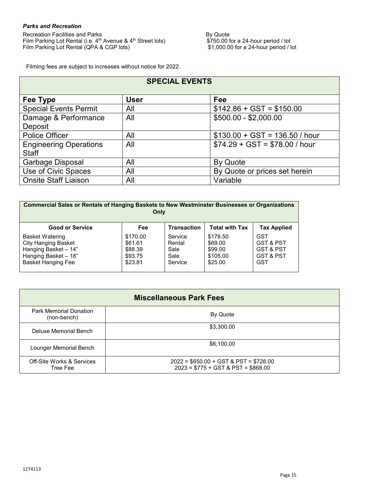#### *Parks and Recreation*

Recreation Facilities and Parks<br>
Film Parking Lot Rental (i.e. 4<sup>th</sup> Avenue & 4<sup>th</sup> Street lots)<br>
Film Parking Lot Rental (QPA & CGP lots)<br>
\$1,000.00 for a 24-hour period / lot<br>
\$1,000.00 for a 24-hour period / lot Film Parking Lot Rental (i.e. 4<sup>th</sup> Avenue & 4<sup>th</sup> Street lots)  $$750.00$  for a 24-hour period / lot Film Parking Lot Rental (QPA & CGP lots) \$1,000.00 for a 24-hour period / lot

Filming fees are subject to increases without notice for 2022.

| <b>SPECIAL EVENTS</b>         |             |                                 |  |  |
|-------------------------------|-------------|---------------------------------|--|--|
| Fee Type                      | <b>User</b> | Fee                             |  |  |
| <b>Special Events Permit</b>  | All         | $$142.86 + GST = $150.00$       |  |  |
| Damage & Performance          | All         | $$500.00 - $2,000.00$           |  |  |
| Deposit                       |             |                                 |  |  |
| Police Officer<br>All         |             | $$130.00 + GST = 136.50 / hour$ |  |  |
| <b>Engineering Operations</b> | All         | $$74.29 + GST = $78.00 / hour$  |  |  |
| <b>Staff</b>                  |             |                                 |  |  |
| Garbage Disposal              | All         | By Quote                        |  |  |
| Use of Civic Spaces           | All         | By Quote or prices set herein   |  |  |
| <b>Onsite Staff Liaison</b>   | All         | Variable                        |  |  |

| <b>Commercial Sales or Rentals of Hanging Baskets to New Westminster Businesses or Organizations</b><br>Only                      |                                                      |                                              |                                                       |                                                                                                  |
|-----------------------------------------------------------------------------------------------------------------------------------|------------------------------------------------------|----------------------------------------------|-------------------------------------------------------|--------------------------------------------------------------------------------------------------|
| <b>Good or Service</b>                                                                                                            | Fee                                                  | <b>Transaction</b>                           | <b>Total with Tax</b>                                 | <b>Tax Applied</b>                                                                               |
| <b>Basket Watering</b><br><b>City Hanging Basket</b><br>Hanging Basket - 14"<br>Hanging Basket - 18"<br><b>Basket Hanging Fee</b> | \$170.00<br>\$61.61<br>\$88.39<br>\$93.75<br>\$23.81 | Service<br>Rental<br>Sale<br>Sale<br>Service | \$178.50<br>\$69.00<br>\$99.00<br>\$105.00<br>\$25.00 | <b>GST</b><br><b>GST &amp; PST</b><br><b>GST &amp; PST</b><br><b>GST &amp; PST</b><br><b>GST</b> |

| <b>Miscellaneous Park Fees</b>               |                                                                               |  |
|----------------------------------------------|-------------------------------------------------------------------------------|--|
| <b>Park Memorial Donation</b><br>(non-bench) | By Quote                                                                      |  |
| Deluxe Memorial Bench                        | \$3,300.00                                                                    |  |
| Lounger Memorial Bench                       | \$6,100.00                                                                    |  |
| Off-Site Works & Services<br>Tree Fee        | $2022 = $650.00 + GST & PST = $728.00$<br>$2023 = $775 + GST & PST = $868.00$ |  |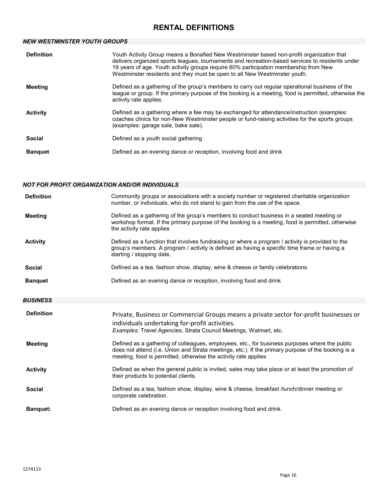# **RENTAL DEFINITIONS**

#### *NEW WESTMINSTER YOUTH GROUPS*

| <b>Definition</b> | Youth Activity Group means a Bonafied New Westminster based non-profit organization that<br>delivers organized sports leagues, tournaments and recreation-based services to residents under<br>19 years of age. Youth activity groups require 60% participation membership from New<br>Westminster residents and they must be open to all New Westminster youth. |
|-------------------|------------------------------------------------------------------------------------------------------------------------------------------------------------------------------------------------------------------------------------------------------------------------------------------------------------------------------------------------------------------|
| Meeting           | Defined as a gathering of the group's members to carry out regular operational business of the<br>league or group. If the primary purpose of the booking is a meeting, food is permitted, otherwise the<br>activity rate applies.                                                                                                                                |
| <b>Activity</b>   | Defined as a gathering where a fee may be exchanged for attendance/instruction (examples:<br>coaches clinics for non-New Westminster people or fund-raising activities for the sports groups<br>(examples: garage sale, bake sale).                                                                                                                              |
| <b>Social</b>     | Defined as a youth social gathering                                                                                                                                                                                                                                                                                                                              |
| <b>Banquet</b>    | Defined as an evening dance or reception, involving food and drink                                                                                                                                                                                                                                                                                               |

#### *NOT FOR PROFIT ORGANIZATION AND/OR INDIVIDUALS*

| <b>Definition</b> | Community groups or associations with a society number or registered charitable organization<br>number, or individuals, who do not stand to gain from the use of the space.                                                                                            |
|-------------------|------------------------------------------------------------------------------------------------------------------------------------------------------------------------------------------------------------------------------------------------------------------------|
| <b>Meeting</b>    | Defined as a gathering of the group's members to conduct business in a seated meeting or<br>workshop format. If the primary purpose of the booking is a meeting, food is permitted, otherwise<br>the activity rate applies                                             |
| <b>Activity</b>   | Defined as a function that involves fundraising or where a program / activity is provided to the<br>group's members. A program / activity is defined as having a specific time frame or having a<br>starting / stopping date.                                          |
| <b>Social</b>     | Defined as a tea, fashion show, display, wine & cheese or family celebrations.                                                                                                                                                                                         |
| <b>Banquet</b>    | Defined as an evening dance or reception, involving food and drink                                                                                                                                                                                                     |
| <b>BUSINESS</b>   |                                                                                                                                                                                                                                                                        |
|                   |                                                                                                                                                                                                                                                                        |
| <b>Definition</b> | Private, Business or Commercial Groups means a private sector for-profit businesses or<br>individuals undertaking for-profit activities.<br>Examples: Travel Agencies, Strata Council Meetings, Walmart, etc.                                                          |
| <b>Meeting</b>    | Defined as a gathering of colleagues, employees, etc., for business purposes where the public<br>does not attend (i.e. Union and Strata meetings, etc.). If the primary purpose of the booking is a<br>meeting, food is permitted, otherwise the activity rate applies |
| <b>Activity</b>   | Defined as when the general public is invited, sales may take place or at least the promotion of<br>their products to potential clients.                                                                                                                               |
| <b>Social</b>     | Defined as a tea, fashion show, display, wine & cheese, breakfast /lunch/dinner meeting or<br>corporate celebration.                                                                                                                                                   |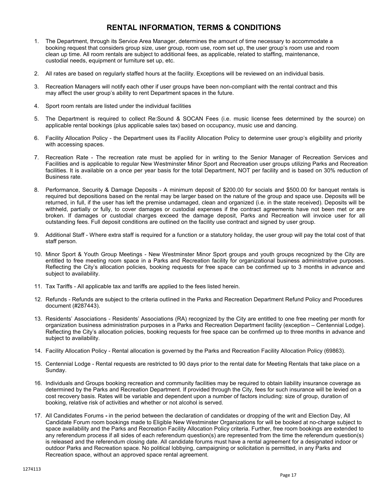### **RENTAL INFORMATION, TERMS & CONDITIONS**

- 1. The Department, through its Service Area Manager, determines the amount of time necessary to accommodate a booking request that considers group size, user group, room use, room set up, the user group's room use and room clean up time. All room rentals are subject to additional fees, as applicable, related to staffing, maintenance, custodial needs, equipment or furniture set up, etc.
- 2. All rates are based on regularly staffed hours at the facility. Exceptions will be reviewed on an individual basis.
- 3. Recreation Managers will notify each other if user groups have been non-compliant with the rental contract and this may affect the user group's ability to rent Department spaces in the future.
- 4. Sport room rentals are listed under the individual facilities
- 5. The Department is required to collect Re:Sound & SOCAN Fees (i.e. music license fees determined by the source) on applicable rental bookings (plus applicable sales tax) based on occupancy, music use and dancing.
- 6. Facility Allocation Policy the Department uses its Facility Allocation Policy to determine user group's eligibility and priority with accessing spaces.
- 7. Recreation Rate The recreation rate must be applied for in writing to the Senior Manager of Recreation Services and Facilities and is applicable to regular New Westminster Minor Sport and Recreation user groups utilizing Parks and Recreation facilities. It is available on a once per year basis for the total Department, NOT per facility and is based on 30% reduction of Business rate.
- 8. Performance, Security & Damage Deposits A minimum deposit of \$200.00 for socials and \$500.00 for banquet rentals is required but depositions based on the rental may be larger based on the nature of the group and space use. Deposits will be returned, in full, if the user has left the premise undamaged, clean and organized (i.e. in the state received). Deposits will be withheld, partially or fully, to cover damages or custodial expenses if the contract agreements have not been met or are broken. If damages or custodial charges exceed the damage deposit, Parks and Recreation will invoice user for all outstanding fees. Full deposit conditions are outlined on the facility use contract and signed by user group.
- 9. Additional Staff Where extra staff is required for a function or a statutory holiday, the user group will pay the total cost of that staff person.
- 10. Minor Sport & Youth Group Meetings New Westminster Minor Sport groups and youth groups recognized by the City are entitled to free meeting room space in a Parks and Recreation facility for organizational business administrative purposes. Reflecting the City's allocation policies, booking requests for free space can be confirmed up to 3 months in advance and subject to availability.
- 11. Tax Tariffs All applicable tax and tariffs are applied to the fees listed herein.
- 12. Refunds Refunds are subject to the criteria outlined in the Parks and Recreation Department Refund Policy and Procedures document (#287443).
- 13. Residents' Associations Residents' Associations (RA) recognized by the City are entitled to one free meeting per month for organization business administration purposes in a Parks and Recreation Department facility (exception – Centennial Lodge). Reflecting the City's allocation policies, booking requests for free space can be confirmed up to three months in advance and subject to availability.
- 14. Facility Allocation Policy Rental allocation is governed by the Parks and Recreation Facility Allocation Policy (69863).
- 15. Centennial Lodge Rental requests are restricted to 90 days prior to the rental date for Meeting Rentals that take place on a Sunday.
- 16. Individuals and Groups booking recreation and community facilities may be required to obtain liability insurance coverage as determined by the Parks and Recreation Department. If provided through the City, fees for such insurance will be levied on a cost recovery basis. Rates will be variable and dependent upon a number of factors including: size of group, duration of booking, relative risk of activities and whether or not alcohol is served.
- 17. All Candidates Forums **-** in the period between the declaration of candidates or dropping of the writ and Election Day, All Candidate Forum room bookings made to Eligible New Westminster Organizations for will be booked at no-charge subject to space availability and the Parks and Recreation Facility Allocation Policy criteria. Further, free room bookings are extended to any referendum process if all sides of each referendum question(s) are represented from the time the referendum question(s) is released and the referendum closing date. All candidate forums must have a rental agreement for a designated indoor or outdoor Parks and Recreation space. No political lobbying, campaigning or solicitation is permitted, in any Parks and Recreation space, without an approved space rental agreement.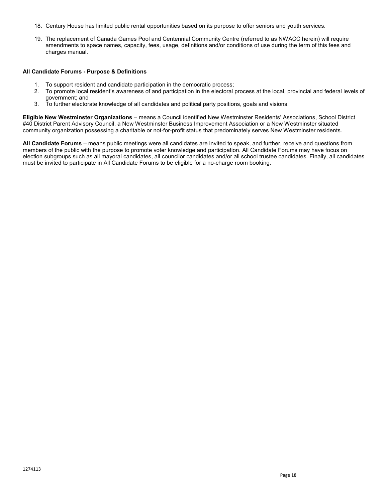- 18. Century House has limited public rental opportunities based on its purpose to offer seniors and youth services.
- 19. The replacement of Canada Games Pool and Centennial Community Centre (referred to as NWACC herein) will require amendments to space names, capacity, fees, usage, definitions and/or conditions of use during the term of this fees and charges manual.

#### **All Candidate Forums - Purpose & Definitions**

- 1. To support resident and candidate participation in the democratic process;
- 2. To promote local resident's awareness of and participation in the electoral process at the local, provincial and federal levels of government; and
- 3. To further electorate knowledge of all candidates and political party positions, goals and visions.

**Eligible New Westminster Organizations** – means a Council identified New Westminster Residents' Associations, School District #40 District Parent Advisory Council, a New Westminster Business Improvement Association or a New Westminster situated community organization possessing a charitable or not-for-profit status that predominately serves New Westminster residents.

**All Candidate Forums** – means public meetings were all candidates are invited to speak, and further, receive and questions from members of the public with the purpose to promote voter knowledge and participation. All Candidate Forums may have focus on election subgroups such as all mayoral candidates, all councilor candidates and/or all school trustee candidates. Finally, all candidates must be invited to participate in All Candidate Forums to be eligible for a no-charge room booking.